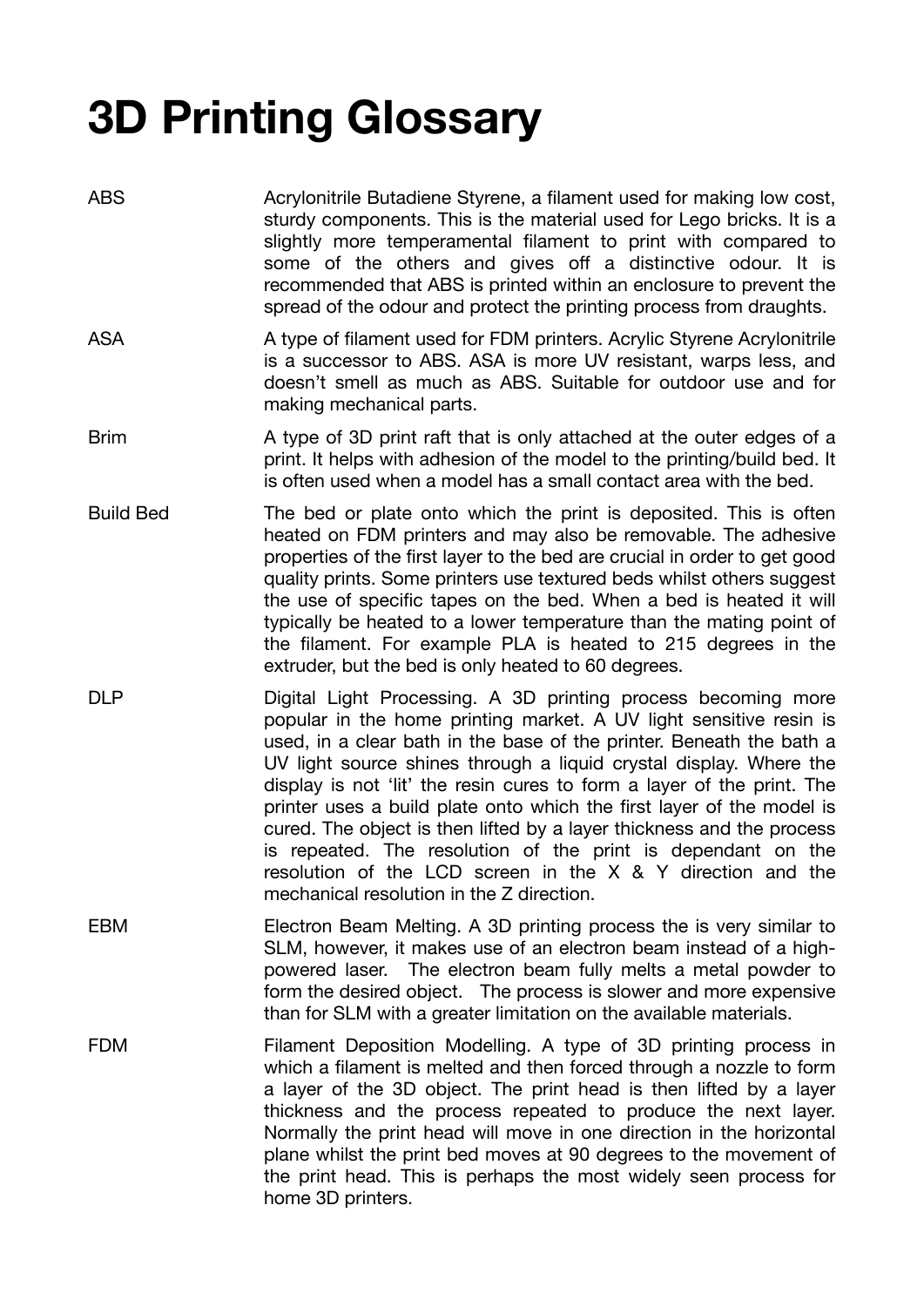## **3D Printing Glossary**

- ABS Acrylonitrile Butadiene Styrene, a filament used for making low cost, sturdy components. This is the material used for Lego bricks. It is a slightly more temperamental filament to print with compared to some of the others and gives off a distinctive odour. It is recommended that ABS is printed within an enclosure to prevent the spread of the odour and protect the printing process from draughts.
- ASA A type of filament used for FDM printers. Acrylic Styrene Acrylonitrile is a successor to ABS. ASA is more UV resistant, warps less, and doesn't smell as much as ABS. Suitable for outdoor use and for making mechanical parts.
- Brim A type of 3D print raft that is only attached at the outer edges of a print. It helps with adhesion of the model to the printing/build bed. It is often used when a model has a small contact area with the bed.
- Build Bed The bed or plate onto which the print is deposited. This is often heated on FDM printers and may also be removable. The adhesive properties of the first layer to the bed are crucial in order to get good quality prints. Some printers use textured beds whilst others suggest the use of specific tapes on the bed. When a bed is heated it will typically be heated to a lower temperature than the mating point of the filament. For example PLA is heated to 215 degrees in the extruder, but the bed is only heated to 60 degrees.
- DLP Digital Light Processing. A 3D printing process becoming more popular in the home printing market. A UV light sensitive resin is used, in a clear bath in the base of the printer. Beneath the bath a UV light source shines through a liquid crystal display. Where the display is not 'lit' the resin cures to form a layer of the print. The printer uses a build plate onto which the first layer of the model is cured. The object is then lifted by a layer thickness and the process is repeated. The resolution of the print is dependant on the resolution of the LCD screen in the X & Y direction and the mechanical resolution in the Z direction.
- EBM Electron Beam Melting. A 3D printing process the is very similar to SLM, however, it makes use of an electron beam instead of a highpowered laser. The electron beam fully melts a metal powder to form the desired object. The process is slower and more expensive than for SLM with a greater limitation on the available materials.
- FDM Filament Deposition Modelling. A type of 3D printing process in which a filament is melted and then forced through a nozzle to form a layer of the 3D object. The print head is then lifted by a layer thickness and the process repeated to produce the next layer. Normally the print head will move in one direction in the horizontal plane whilst the print bed moves at 90 degrees to the movement of the print head. This is perhaps the most widely seen process for home 3D printers.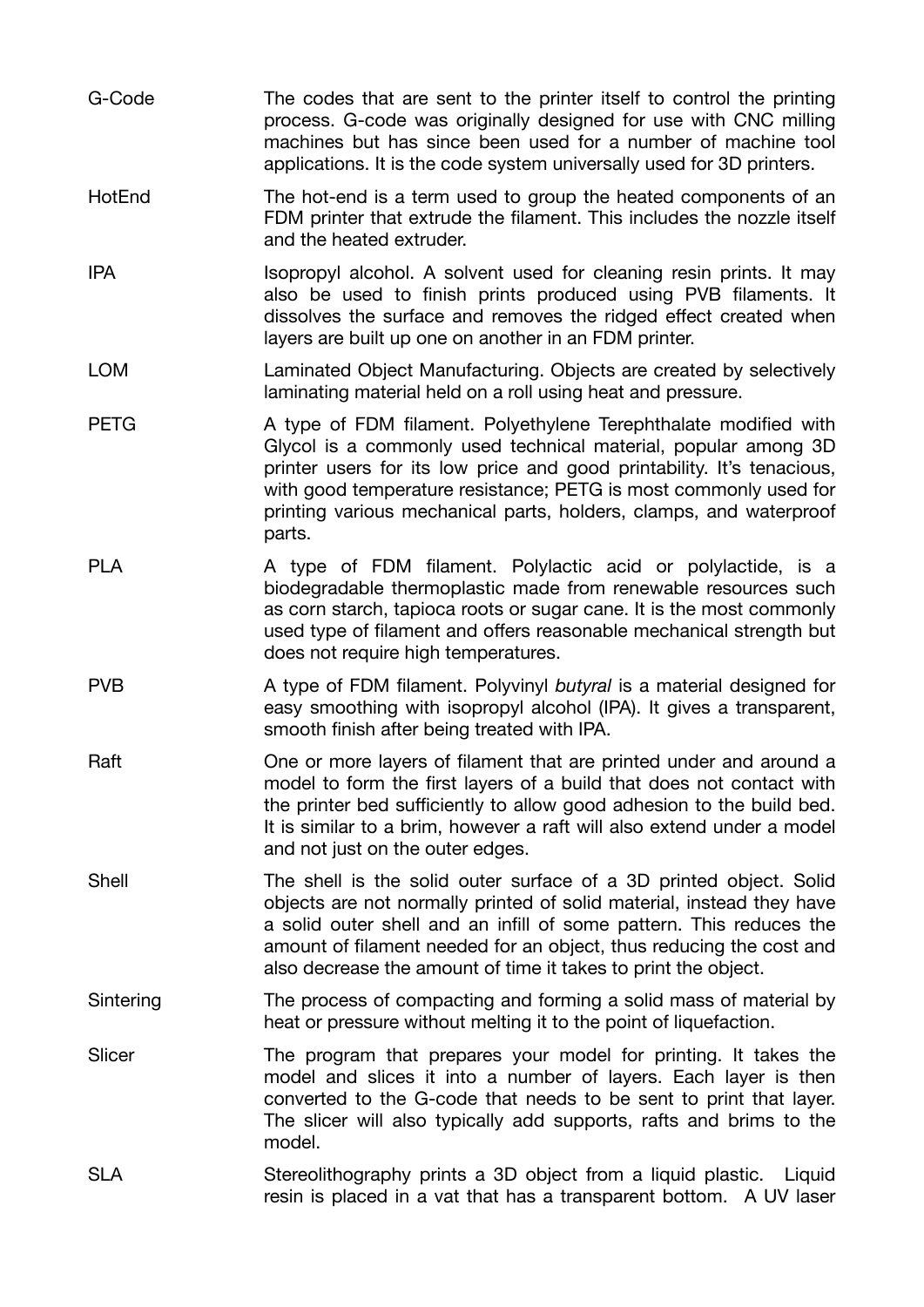- G-Code The codes that are sent to the printer itself to control the printing process. G-code was originally designed for use with CNC milling machines but has since been used for a number of machine tool applications. It is the code system universally used for 3D printers.
- HotEnd The hot-end is a term used to group the heated components of an FDM printer that extrude the filament. This includes the nozzle itself and the heated extruder.
- IPA Isopropyl alcohol. A solvent used for cleaning resin prints. It may also be used to finish prints produced using PVB filaments. It dissolves the surface and removes the ridged effect created when layers are built up one on another in an FDM printer.
- LOM Laminated Object Manufacturing. Objects are created by selectively laminating material held on a roll using heat and pressure.
- PETG A type of FDM filament. Polyethylene Terephthalate modified with Glycol is a commonly used technical material, popular among 3D printer users for its low price and good printability. It's tenacious, with good temperature resistance; PETG is most commonly used for printing various mechanical parts, holders, clamps, and waterproof parts.
- PLA A type of FDM filament. Polylactic acid or polylactide, is a biodegradable thermoplastic made from renewable resources such as corn starch, tapioca roots or sugar cane. It is the most commonly used type of filament and offers reasonable mechanical strength but does not require high temperatures.
- PVB A type of FDM filament. Polyvinyl *butyral* is a material designed for easy smoothing with isopropyl alcohol (IPA). It gives a transparent, smooth finish after being treated with IPA.
- Raft One or more layers of filament that are printed under and around a model to form the first layers of a build that does not contact with the printer bed sufficiently to allow good adhesion to the build bed. It is similar to a brim, however a raft will also extend under a model and not just on the outer edges.
- Shell The shell is the solid outer surface of a 3D printed object. Solid objects are not normally printed of solid material, instead they have a solid outer shell and an infill of some pattern. This reduces the amount of filament needed for an object, thus reducing the cost and also decrease the amount of time it takes to print the object.
- Sintering The process of compacting and forming a solid mass of material by heat or pressure without melting it to the point of liquefaction.
- Slicer The program that prepares your model for printing. It takes the model and slices it into a number of layers. Each layer is then converted to the G-code that needs to be sent to print that layer. The slicer will also typically add supports, rafts and brims to the model.
- SLA Stereolithography prints a 3D object from a liquid plastic. Liquid resin is placed in a vat that has a transparent bottom. A UV laser